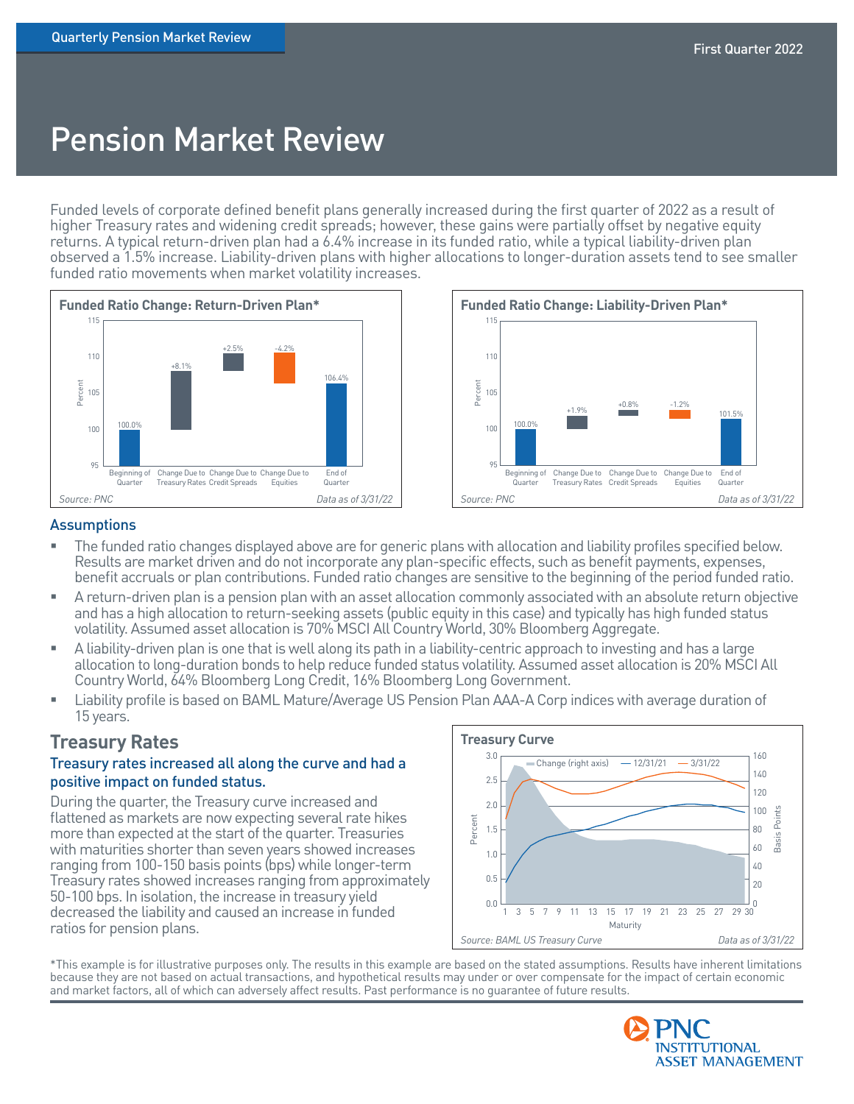# Pension Market Review

Funded levels of corporate defined benefit plans generally increased during the first quarter of 2022 as a result of higher Treasury rates and widening credit spreads; however, these gains were partially offset by negative equity returns. A typical return-driven plan had a 6.4% increase in its funded ratio, while a typical liability-driven plan observed a 1.5% increase. Liability-driven plans with higher allocations to longer-duration assets tend to see smaller funded ratio movements when market volatility increases.





#### **Assumptions**

- The funded ratio changes displayed above are for generic plans with allocation and liability profiles specified below. Results are market driven and do not incorporate any plan-specific effects, such as benefit payments, expenses, benefit accruals or plan contributions. Funded ratio changes are sensitive to the beginning of the period funded ratio.
- A return-driven plan is a pension plan with an asset allocation commonly associated with an absolute return objective and has a high allocation to return-seeking assets (public equity in this case) and typically has high funded status volatility. Assumed asset allocation is 70% MSCI All Country World, 30% Bloomberg Aggregate.
- A liability-driven plan is one that is well along its path in a liability-centric approach to investing and has a large allocation to long-duration bonds to help reduce funded status volatility. Assumed asset allocation is 20% MSCI All Country World, 64% Bloomberg Long Credit, 16% Bloomberg Long Government.
- Liability profile is based on BAML Mature/Average US Pension Plan AAA-A Corp indices with average duration of 15 years.

# **Treasury Rates**

### Treasury rates increased all along the curve and had a positive impact on funded status.

During the quarter, the Treasury curve increased and flattened as markets are now expecting several rate hikes more than expected at the start of the quarter. Treasuries with maturities shorter than seven years showed increases ranging from 100-150 basis points (bps) while longer-term Treasury rates showed increases ranging from approximately 50-100 bps. In isolation, the increase in treasury yield decreased the liability and caused an increase in funded ratios for pension plans.



\*This example is for illustrative purposes only. The results in this example are based on the stated assumptions. Results have inherent limitations because they are not based on actual transactions, and hypothetical results may under or over compensate for the impact of certain economic and market factors, all of which can adversely affect results. Past performance is no guarantee of future results.